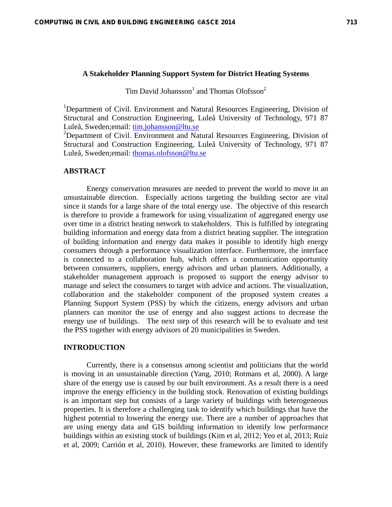Tim David Johansson<sup>1</sup> and Thomas Olofsson<sup>2</sup>

<sup>1</sup>Department of Civil. Environment and Natural Resources Engineering, Division of Structural and Construction Engineering, Luleå University of Technology, 971 87 Luleå, Sweden;email: tim.johansson@ltu.se

<sup>2</sup>Department of Civil. Environment and Natural Resources Engineering, Division of Structural and Construction Engineering, Luleå University of Technology, 971 87 Luleå, Sweden;email: thomas.olofsson@ltu.se

# **ABSTRACT**

Energy conservation measures are needed to prevent the world to move in an unsustainable direction. Especially actions targeting the building sector are vital since it stands for a large share of the total energy use. The objective of this research is therefore to provide a framework for using visualization of aggregated energy use over time in a district heating network to stakeholders. This is fulfilled by integrating building information and energy data from a district heating supplier. The integration of building information and energy data makes it possible to identify high energy consumers through a performance visualization interface. Furthermore, the interface is connected to a collaboration hub, which offers a communication opportunity between consumers, suppliers, energy advisors and urban planners. Additionally, a stakeholder management approach is proposed to support the energy advisor to manage and select the consumers to target with advice and actions. The visualization, collaboration and the stakeholder component of the proposed system creates a Planning Support System (PSS) by which the citizens, energy advisors and urban planners can monitor the use of energy and also suggest actions to decrease the energy use of buildings. The next step of this research will be to evaluate and test the PSS together with energy advisors of 20 municipalities in Sweden.

# **INTRODUCTION**

Currently, there is a consensus among scientist and politicians that the world is moving in an unsustainable direction (Yang, 2010; Rotmans et al, 2000). A large share of the energy use is caused by our built environment. As a result there is a need improve the energy efficiency in the building stock. Renovation of existing buildings is an important step but consists of a large variety of buildings with heterogeneous properties. It is therefore a challenging task to identify which buildings that have the highest potential to lowering the energy use. There are a number of approaches that are using energy data and GIS building information to identify low performance buildings within an existing stock of buildings (Kim et al, 2012; Yeo et al, 2013; Ruiz et al, 2009; Carrión et al, 2010). However, these frameworks are limited to identify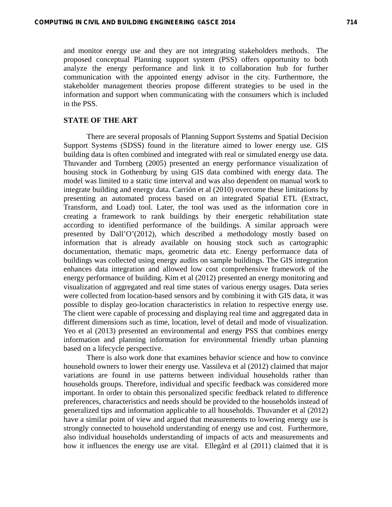and monitor energy use and they are not integrating stakeholders methods. The proposed conceptual Planning support system (PSS) offers opportunity to both analyze the energy performance and link it to collaboration hub for further communication with the appointed energy advisor in the city. Furthermore, the stakeholder management theories propose different strategies to be used in the information and support when communicating with the consumers which is included in the PSS.

# **STATE OF THE ART**

There are several proposals of Planning Support Systems and Spatial Decision Support Systems (SDSS) found in the literature aimed to lower energy use. GIS building data is often combined and integrated with real or simulated energy use data. Thuvander and Tornberg (2005) presented an energy performance visualization of housing stock in Gothenburg by using GIS data combined with energy data. The model was limited to a static time interval and was also dependent on manual work to integrate building and energy data. Carrión et al (2010) overcome these limitations by presenting an automated process based on an integrated Spatial ETL (Extract, Transform, and Load) tool. Later, the tool was used as the information core in creating a framework to rank buildings by their energetic rehabilitation state according to identified performance of the buildings. A similar approach were presented by Dall'O'(2012), which described a methodology mostly based on information that is already available on housing stock such as cartographic documentation, thematic maps, geometric data etc. Energy performance data of buildings was collected using energy audits on sample buildings. The GIS integration enhances data integration and allowed low cost comprehensive framework of the energy performance of building. Kim et al (2012) presented an energy monitoring and visualization of aggregated and real time states of various energy usages. Data series were collected from location-based sensors and by combining it with GIS data, it was possible to display geo-location characteristics in relation to respective energy use. The client were capable of processing and displaying real time and aggregated data in different dimensions such as time, location, level of detail and mode of visualization. Yeo et al (2013) presented an environmental and energy PSS that combines energy information and planning information for environmental friendly urban planning based on a lifecycle perspective.

There is also work done that examines behavior science and how to convince household owners to lower their energy use. Vassileva et al (2012) claimed that major variations are found in use patterns between individual households rather than households groups. Therefore, individual and specific feedback was considered more important. In order to obtain this personalized specific feedback related to difference preferences, characteristics and needs should be provided to the households instead of generalized tips and information applicable to all households. Thuvander et al (2012) have a similar point of view and argued that measurements to lowering energy use is strongly connected to household understanding of energy use and cost. Furthermore, also individual households understanding of impacts of acts and measurements and how it influences the energy use are vital. Ellegård et al (2011) claimed that it is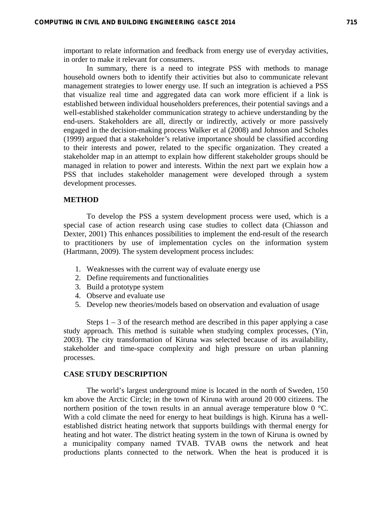important to relate information and feedback from energy use of everyday activities, in order to make it relevant for consumers.

In summary, there is a need to integrate PSS with methods to manage household owners both to identify their activities but also to communicate relevant management strategies to lower energy use. If such an integration is achieved a PSS that visualize real time and aggregated data can work more efficient if a link is established between individual householders preferences, their potential savings and a well-established stakeholder communication strategy to achieve understanding by the end-users. Stakeholders are all, directly or indirectly, actively or more passively engaged in the decision-making process Walker et al (2008) and Johnson and Scholes (1999) argued that a stakeholder's relative importance should be classified according to their interests and power, related to the specific organization. They created a stakeholder map in an attempt to explain how different stakeholder groups should be managed in relation to power and interests. Within the next part we explain how a PSS that includes stakeholder management were developed through a system development processes.

### **METHOD**

To develop the PSS a system development process were used, which is a special case of action research using case studies to collect data (Chiasson and Dexter, 2001) This enhances possibilities to implement the end-result of the research to practitioners by use of implementation cycles on the information system (Hartmann, 2009). The system development process includes:

- 1. Weaknesses with the current way of evaluate energy use
- 2. Define requirements and functionalities
- 3. Build a prototype system
- 4. Observe and evaluate use
- 5. Develop new theories/models based on observation and evaluation of usage

Steps  $1 - 3$  of the research method are described in this paper applying a case study approach. This method is suitable when studying complex processes, (Yin, 2003). The city transformation of Kiruna was selected because of its availability, stakeholder and time-space complexity and high pressure on urban planning processes.

#### **CASE STUDY DESCRIPTION**

The world's largest underground mine is located in the north of Sweden, 150 km above the Arctic Circle; in the town of Kiruna with around 20 000 citizens. The northern position of the town results in an annual average temperature blow 0 °C. With a cold climate the need for energy to heat buildings is high. Kiruna has a wellestablished district heating network that supports buildings with thermal energy for heating and hot water. The district heating system in the town of Kiruna is owned by a municipality company named TVAB. TVAB owns the network and heat productions plants connected to the network. When the heat is produced it is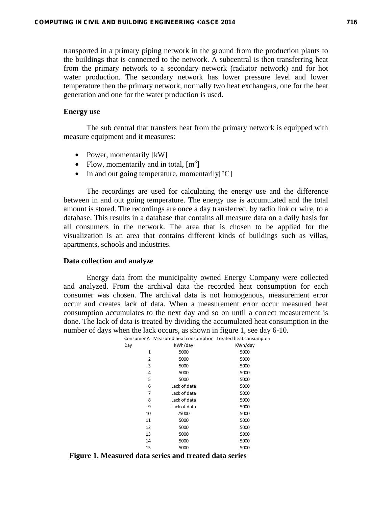transported in a primary piping network in the ground from the production plants to the buildings that is connected to the network. A subcentral is then transferring heat from the primary network to a secondary network (radiator network) and for hot water production. The secondary network has lower pressure level and lower temperature then the primary network, normally two heat exchangers, one for the heat generation and one for the water production is used.

#### **Energy use**

The sub central that transfers heat from the primary network is equipped with measure equipment and it measures:

- Power, momentarily [kW]
- Flow, momentarily and in total,  $[m^3]$
- In and out going temperature, momentarily  $[°C]$

The recordings are used for calculating the energy use and the difference between in and out going temperature. The energy use is accumulated and the total amount is stored. The recordings are once a day transferred, by radio link or wire, to a database. This results in a database that contains all measure data on a daily basis for all consumers in the network. The area that is chosen to be applied for the visualization is an area that contains different kinds of buildings such as villas, apartments, schools and industries.

#### **Data collection and analyze**

Energy data from the municipality owned Energy Company were collected and analyzed. From the archival data the recorded heat consumption for each consumer was chosen. The archival data is not homogenous, measurement error occur and creates lack of data. When a measurement error occur measured heat consumption accumulates to the next day and so on until a correct measurement is done. The lack of data is treated by dividing the accumulated heat consumption in the number of days when the lack occurs, as shown in figure 1, see day 6-10.

|     | Consumer A Measured heat consumption Treated heat consumpion |         |
|-----|--------------------------------------------------------------|---------|
| Day | KWh/day                                                      | KWh/day |
| 1   | 5000                                                         | 5000    |
| 2   | 5000                                                         | 5000    |
| 3   | 5000                                                         | 5000    |
| 4   | 5000                                                         | 5000    |
| 5   | 5000                                                         | 5000    |
| 6   | Lack of data                                                 | 5000    |
| 7   | Lack of data                                                 | 5000    |
| 8   | Lack of data                                                 | 5000    |
| 9   | Lack of data                                                 | 5000    |
| 10  | 25000                                                        | 5000    |
| 11  | 5000                                                         | 5000    |
| 12  | 5000                                                         | 5000    |
| 13  | 5000                                                         | 5000    |
| 14  | 5000                                                         | 5000    |
| 15  | 5000                                                         | 5000    |

**Figure 1. Measured data series and treated data series**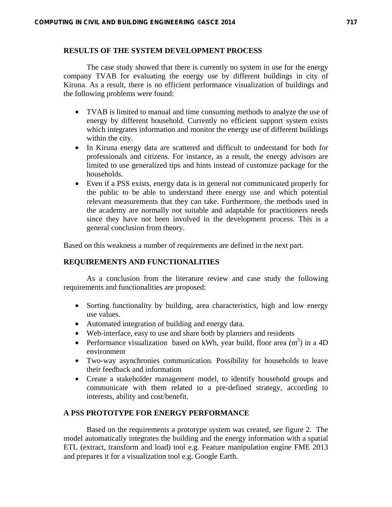# **RESULTS OF THE SYSTEM DEVELOPMENT PROCESS**

The case study showed that there is currently no system in use for the energy company TVAB for evaluating the energy use by different buildings in city of Kiruna. As a result, there is no efficient performance visualization of buildings and the following problems were found:

- TVAB is limited to manual and time consuming methods to analyze the use of energy by different household. Currently no efficient support system exists which integrates information and monitor the energy use of different buildings within the city.
- In Kiruna energy data are scattered and difficult to understand for both for professionals and citizens. For instance, as a result, the energy advisors are limited to use generalized tips and hints instead of customize package for the households.
- Even if a PSS exists, energy data is in general not communicated properly for the public to be able to understand there energy use and which potential relevant measurements that they can take. Furthermore, the methods used in the academy are normally not suitable and adaptable for practitioners needs since they have not been involved in the development process. This is a general conclusion from theory.

Based on this weakness a number of requirements are defined in the next part.

# **REQUIREMENTS AND FUNCTIONALITIES**

As a conclusion from the literature review and case study the following requirements and functionalities are proposed:

- Sorting functionality by building, area characteristics, high and low energy use values.
- Automated integration of building and energy data.
- Web-interface, easy to use and share both by planners and residents
- Performance visualization based on kWh, year build, floor area  $(m^2)$  in a 4D environment
- Two-way asynchronies communication. Possibility for households to leave their feedback and information
- Create a stakeholder management model, to identify household groups and communicate with them related to a pre-defined strategy, according to interests, ability and cost/benefit.

# **A PSS PROTOTYPE FOR ENERGY PERFORMANCE**

Based on the requirements a prototype system was created, see figure 2. The model automatically integrates the building and the energy information with a spatial ETL (extract, transform and load) tool e.g. Feature manipulation engine FME 2013 and prepares it for a visualization tool e.g. Google Earth.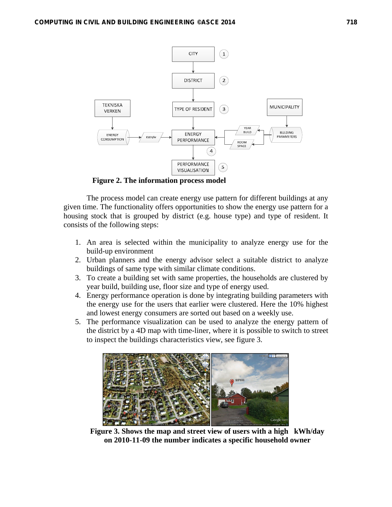

 **Figure 2. The information process model** 

The process model can create energy use pattern for different buildings at any given time. The functionality offers opportunities to show the energy use pattern for a housing stock that is grouped by district (e.g. house type) and type of resident. It consists of the following steps:

- 1. An area is selected within the municipality to analyze energy use for the build-up environment
- 2. Urban planners and the energy advisor select a suitable district to analyze buildings of same type with similar climate conditions.
- 3. To create a building set with same properties, the households are clustered by year build, building use, floor size and type of energy used.
- 4. Energy performance operation is done by integrating building parameters with the energy use for the users that earlier were clustered. Here the 10% highest and lowest energy consumers are sorted out based on a weekly use.
- 5. The performance visualization can be used to analyze the energy pattern of the district by a 4D map with time-liner, where it is possible to switch to street to inspect the buildings characteristics view, see figure 3.



**Figure 3. Shows the map and street view of users with a high kWh/day on 2010-11-09 the number indicates a specific household owner**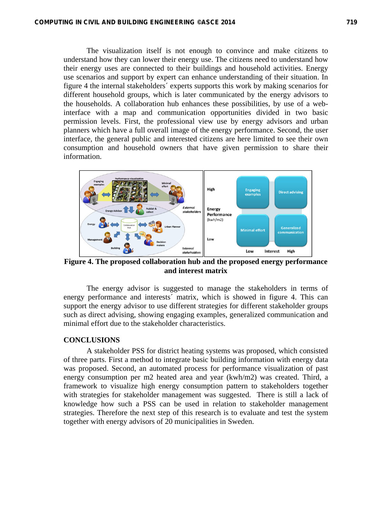The visualization itself is not enough to convince and make citizens to understand how they can lower their energy use. The citizens need to understand how their energy uses are connected to their buildings and household activities. Energy use scenarios and support by expert can enhance understanding of their situation. In figure 4 the internal stakeholders´ experts supports this work by making scenarios for different household groups, which is later communicated by the energy advisors to the households. A collaboration hub enhances these possibilities, by use of a webinterface with a map and communication opportunities divided in two basic permission levels. First, the professional view use by energy advisors and urban planners which have a full overall image of the energy performance. Second, the user interface, the general public and interested citizens are here limited to see their own consumption and household owners that have given permission to share their information.



**Figure 4. The proposed collaboration hub and the proposed energy performance and interest matrix** 

The energy advisor is suggested to manage the stakeholders in terms of energy performance and interests´ matrix, which is showed in figure 4. This can support the energy advisor to use different strategies for different stakeholder groups such as direct advising, showing engaging examples, generalized communication and minimal effort due to the stakeholder characteristics.

# **CONCLUSIONS**

A stakeholder PSS for district heating systems was proposed, which consisted of three parts. First a method to integrate basic building information with energy data was proposed. Second, an automated process for performance visualization of past energy consumption per m2 heated area and year (kwh/m2) was created. Third, a framework to visualize high energy consumption pattern to stakeholders together with strategies for stakeholder management was suggested. There is still a lack of knowledge how such a PSS can be used in relation to stakeholder management strategies. Therefore the next step of this research is to evaluate and test the system together with energy advisors of 20 municipalities in Sweden.